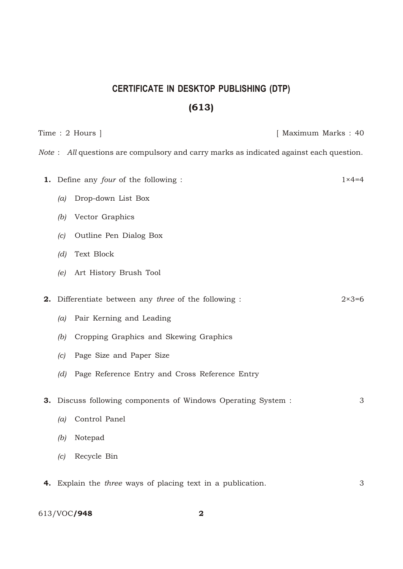## **CERTIFICATE IN DESKTOP PUBLISHING (DTP)** (613)

Time : 2 Hours ] [ Maximum Marks : 40 *Note* : *All* questions are compulsory and carry marks as indicated against each question. 1. Define any *four* of the following : 1×4=4 *(a)* Drop-down List Box *(b)* Vector Graphics *(c)* Outline Pen Dialog Box *(d)* Text Block *(e)* Art History Brush Tool **2.** Differentiate between any *three* of the following : 2×3=6 *(a)* Pair Kerning and Leading *(b)* Cropping Graphics and Skewing Graphics *(c)* Page Size and Paper Size *(d)* Page Reference Entry and Cross Reference Entry **3.** Discuss following components of Windows Operating System : 3 *(a)* Control Panel *(b)* Notepad *(c)* Recycle Bin 4. Explain the *three* ways of placing text in a publication. 3